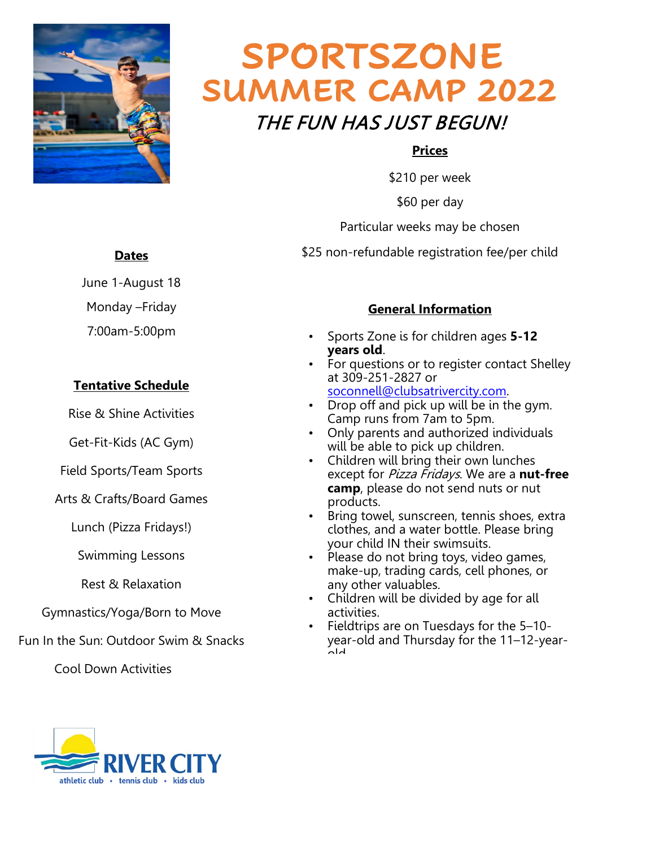

# **SUMMER CAMP 2022** THE FUN HAS JUST BEGUN! **SPORTSZONE**

#### **Prices**

\$210 per week

\$60 per day

Particular weeks may be chosen

\$25 non-refundable registration fee/per child

#### **Dates**

June 1-August 18

Monday –Friday

7:00am-5:00pm

#### **Tentative Schedule**

Rise & Shine Activities

Get-Fit-Kids (AC Gym)

Field Sports/Team Sports

Arts & Crafts/Board Games

Lunch (Pizza Fridays!)

Swimming Lessons

Rest & Relaxation

Gymnastics/Yoga/Born to Move

Fun In the Sun: Outdoor Swim & Snacks

Cool Down Activities



#### **General Information**

- Sports Zone is for children ages **5-12 years old**.
- For questions or to register contact Shelley at 309-251-2827 or [soconnell@clubsatrivercity.com.](mailto:soconnell@clubsatrivercity.com)
- Drop off and pick up will be in the gym. Camp runs from 7am to 5pm.
- Only parents and authorized individuals will be able to pick up children.
- Children will bring their own lunches except for Pizza Fridays. We are a **nut-free camp**, please do not send nuts or nut products.
- Bring towel, sunscreen, tennis shoes, extra clothes, and a water bottle. Please bring your child IN their swimsuits.
- Please do not bring toys, video games, make-up, trading cards, cell phones, or any other valuables.
- Children will be divided by age for all activities.
- Fieldtrips are on Tuesdays for the 5–10 year-old and Thursday for the 11–12-yearold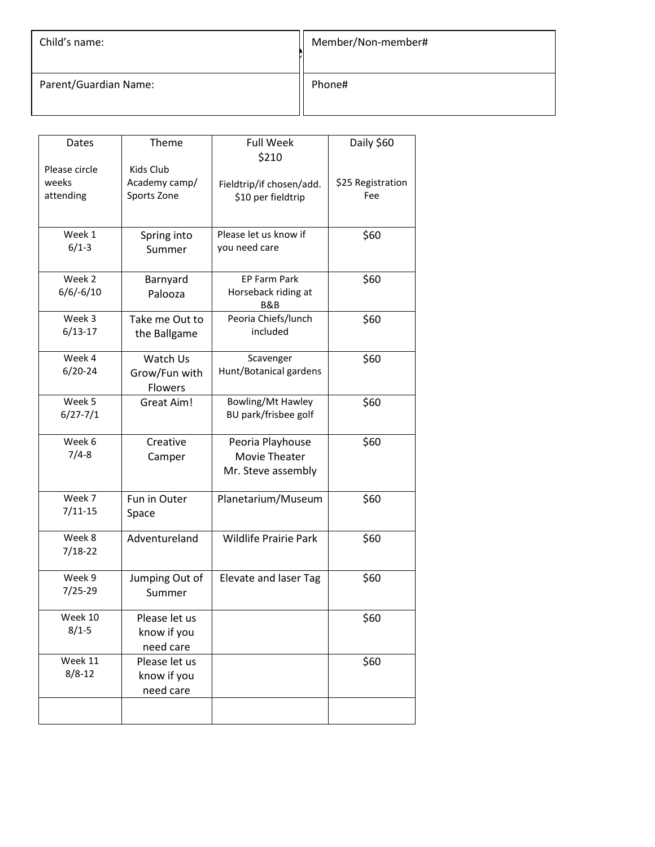| Child's name:         | Member/Non-member# |
|-----------------------|--------------------|
| Parent/Guardian Name: | Phone#             |

| Dates         | Theme          | <b>Full Week</b><br>\$210    | Daily \$60        |  |
|---------------|----------------|------------------------------|-------------------|--|
| Please circle | Kids Club      |                              |                   |  |
| weeks         | Academy camp/  | Fieldtrip/if chosen/add.     | \$25 Registration |  |
| attending     | Sports Zone    | \$10 per fieldtrip           | Fee               |  |
|               |                |                              |                   |  |
| Week 1        | Spring into    | Please let us know if        | \$60              |  |
| $6/1-3$       |                | you need care                |                   |  |
|               | Summer         |                              |                   |  |
| Week 2        | Barnyard       | <b>EP Farm Park</b>          | \$60              |  |
| $6/6/-6/10$   | Palooza        | Horseback riding at<br>B&B   |                   |  |
| Week 3        | Take me Out to | Peoria Chiefs/lunch          | \$60              |  |
| $6/13 - 17$   | the Ballgame   | included                     |                   |  |
| Week 4        | Watch Us       | Scavenger                    | \$60              |  |
| $6/20 - 24$   | Grow/Fun with  | Hunt/Botanical gardens       |                   |  |
|               | Flowers        |                              |                   |  |
| Week 5        | Great Aim!     | Bowling/Mt Hawley            | \$60              |  |
| $6/27 - 7/1$  |                | BU park/frisbee golf         |                   |  |
| Week 6        | Creative       | Peoria Playhouse             | \$60              |  |
| $7/4 - 8$     | Camper         | Movie Theater                |                   |  |
|               |                | Mr. Steve assembly           |                   |  |
| Week 7        | Fun in Outer   | Planetarium/Museum           | \$60              |  |
| $7/11 - 15$   | Space          |                              |                   |  |
| Week 8        | Adventureland  | <b>Wildlife Prairie Park</b> | \$60              |  |
| $7/18 - 22$   |                |                              |                   |  |
| Week 9        | Jumping Out of | Elevate and laser Tag        | \$60              |  |
| 7/25-29       | Summer         |                              |                   |  |
| Week 10       | Please let us  |                              | \$60              |  |
| $8/1 - 5$     | know if you    |                              |                   |  |
|               | need care      |                              |                   |  |
| Week 11       | Please let us  |                              | \$60              |  |
| $8/8 - 12$    | know if you    |                              |                   |  |
|               | need care      |                              |                   |  |
|               |                |                              |                   |  |
|               |                |                              |                   |  |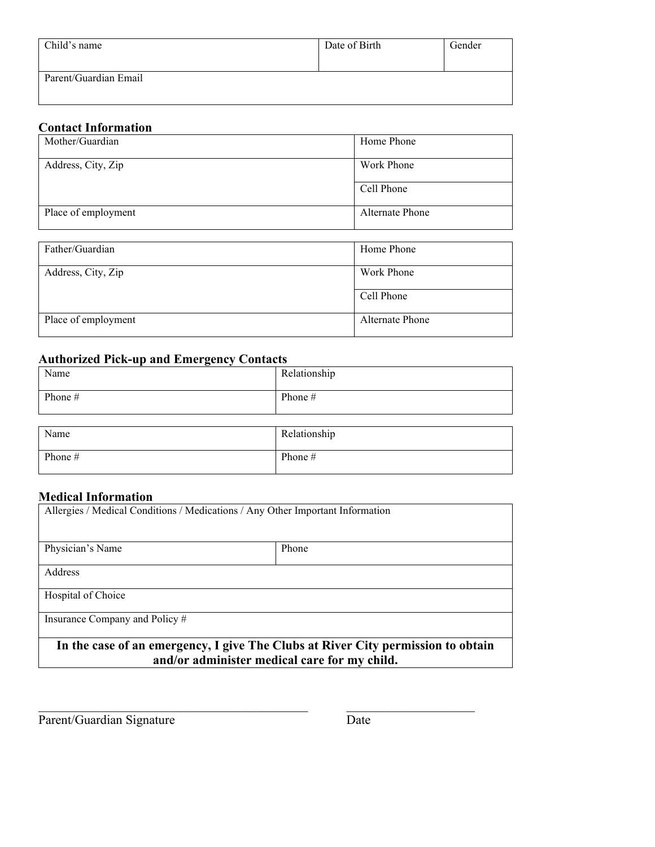| Child's name          | Date of Birth | Gender |
|-----------------------|---------------|--------|
| Parent/Guardian Email |               |        |

#### **Contact Information**

| Mother/Guardian     | Home Phone      |
|---------------------|-----------------|
| Address, City, Zip  | Work Phone      |
|                     | Cell Phone      |
| Place of employment | Alternate Phone |
|                     |                 |
| Father/Guardian     | Home Phone      |

| rather/Guardian     | <b>HOME PROME</b> |
|---------------------|-------------------|
| Address, City, Zip  | Work Phone        |
|                     | Cell Phone        |
| Place of employment | Alternate Phone   |

### **Authorized Pick-up and Emergency Contacts**

| Name    | Relationship |
|---------|--------------|
| Phone # | Phone $#$    |
|         |              |

| Name      | Relationship |
|-----------|--------------|
| Phone $#$ | Phone $#$    |

#### **Medical Information**

| Allergies / Medical Conditions / Medications / Any Other Important Information   |       |  |  |
|----------------------------------------------------------------------------------|-------|--|--|
|                                                                                  |       |  |  |
| Physician's Name                                                                 | Phone |  |  |
| Address                                                                          |       |  |  |
|                                                                                  |       |  |  |
| Hospital of Choice                                                               |       |  |  |
| Insurance Company and Policy #                                                   |       |  |  |
| In the case of an emergency, I give The Clubs at River City permission to obtain |       |  |  |
| and/or administer medical care for my child.                                     |       |  |  |

 $\mathcal{L}_\text{max} = \mathcal{L}_\text{max} = \mathcal{L}_\text{max} = \mathcal{L}_\text{max} = \mathcal{L}_\text{max} = \mathcal{L}_\text{max} = \mathcal{L}_\text{max} = \mathcal{L}_\text{max} = \mathcal{L}_\text{max} = \mathcal{L}_\text{max} = \mathcal{L}_\text{max} = \mathcal{L}_\text{max} = \mathcal{L}_\text{max} = \mathcal{L}_\text{max} = \mathcal{L}_\text{max} = \mathcal{L}_\text{max} = \mathcal{L}_\text{max} = \mathcal{L}_\text{max} = \mathcal{$ 

Parent/Guardian Signature Date Date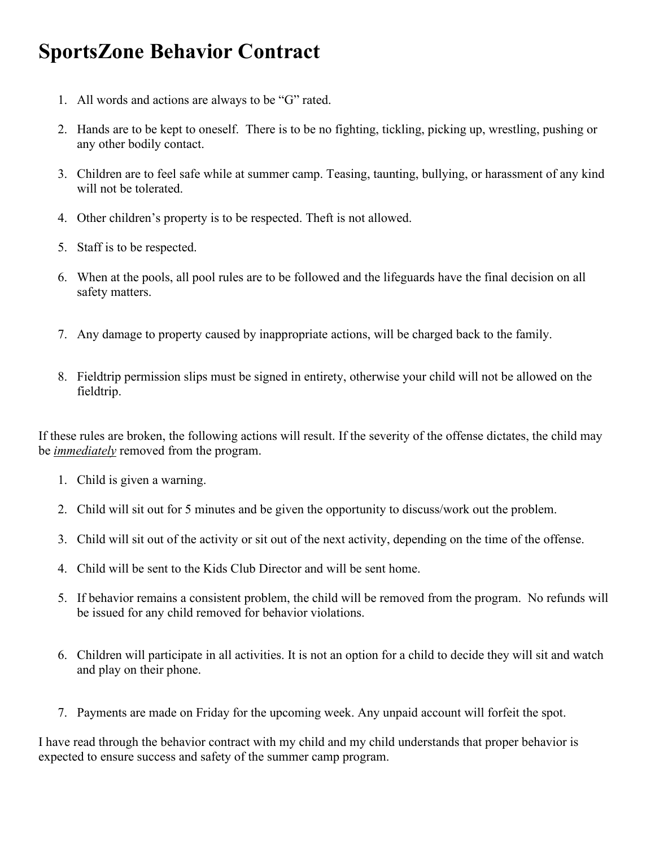## **SportsZone Behavior Contract**

- 1. All words and actions are always to be "G" rated.
- 2. Hands are to be kept to oneself. There is to be no fighting, tickling, picking up, wrestling, pushing or any other bodily contact.
- 3. Children are to feel safe while at summer camp. Teasing, taunting, bullying, or harassment of any kind will not be tolerated.
- 4. Other children's property is to be respected. Theft is not allowed.
- 5. Staff is to be respected.
- 6. When at the pools, all pool rules are to be followed and the lifeguards have the final decision on all safety matters.
- 7. Any damage to property caused by inappropriate actions, will be charged back to the family.
- 8. Fieldtrip permission slips must be signed in entirety, otherwise your child will not be allowed on the fieldtrip.

If these rules are broken, the following actions will result. If the severity of the offense dictates, the child may be *immediately* removed from the program.

- 1. Child is given a warning.
- 2. Child will sit out for 5 minutes and be given the opportunity to discuss/work out the problem.
- 3. Child will sit out of the activity or sit out of the next activity, depending on the time of the offense.
- 4. Child will be sent to the Kids Club Director and will be sent home.
- 5. If behavior remains a consistent problem, the child will be removed from the program. No refunds will be issued for any child removed for behavior violations.
- 6. Children will participate in all activities. It is not an option for a child to decide they will sit and watch and play on their phone.
- 7. Payments are made on Friday for the upcoming week. Any unpaid account will forfeit the spot.

I have read through the behavior contract with my child and my child understands that proper behavior is expected to ensure success and safety of the summer camp program.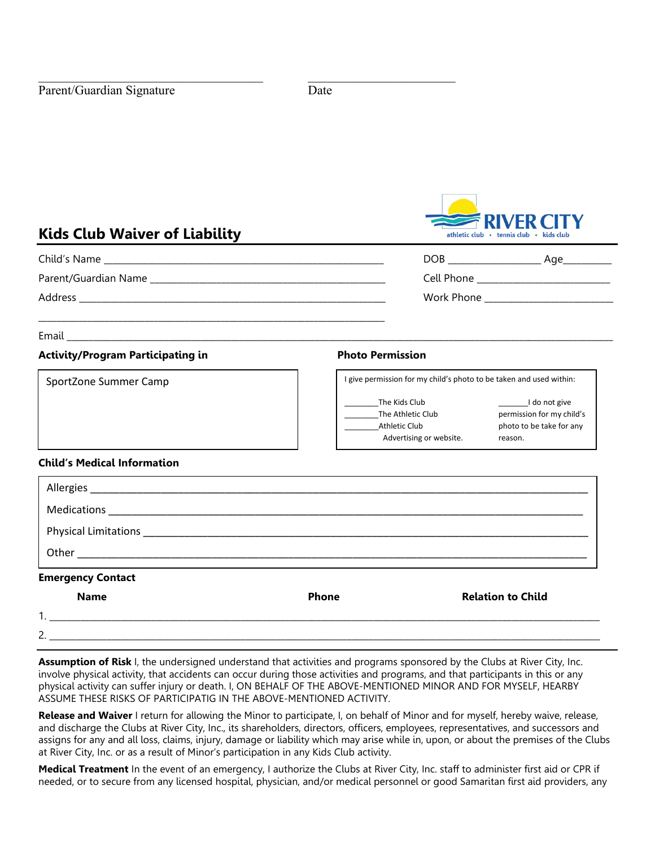

#### **Kids Club Waiver of Liability**

\_\_\_\_\_\_\_\_\_\_\_\_\_\_\_\_\_\_\_\_\_\_\_\_\_\_\_\_\_\_\_\_\_\_\_\_\_\_\_\_\_\_\_\_\_\_\_\_\_\_\_\_\_\_\_\_\_\_\_\_\_\_\_\_\_\_\_\_\_\_\_\_\_\_\_\_\_\_

Child's Name \_\_\_\_\_\_\_\_\_\_\_\_\_\_\_\_\_\_\_\_\_\_\_\_\_\_\_\_\_\_\_\_\_\_\_\_\_\_\_\_\_\_\_\_\_\_\_\_\_\_\_\_\_\_\_\_\_\_\_\_\_\_\_ DOB \_\_\_\_\_\_\_\_\_\_\_\_\_\_\_\_\_\_\_\_\_ Age\_\_\_\_\_\_\_\_\_\_\_

Parent/Guardian Name \_\_\_\_\_\_\_\_\_\_\_\_\_\_\_\_\_\_\_\_\_\_\_\_\_\_\_\_\_\_\_\_\_\_\_\_\_\_\_\_\_\_\_\_\_\_\_\_\_\_\_\_\_ Cell Phone \_\_\_\_\_\_\_\_\_\_\_\_\_\_\_\_\_\_\_\_\_\_\_\_\_\_\_\_\_\_

Address \_\_\_\_\_\_\_\_\_\_\_\_\_\_\_\_\_\_\_\_\_\_\_\_\_\_\_\_\_\_\_\_\_\_\_\_\_\_\_\_\_\_\_\_\_\_\_\_\_\_\_\_\_\_\_\_\_\_\_\_\_\_\_\_\_\_\_\_\_ Work Phone \_\_\_\_\_\_\_\_\_\_\_\_\_\_\_\_\_\_\_\_\_\_\_\_\_\_\_\_\_

Email \_\_\_\_\_\_\_\_\_\_\_\_\_\_\_\_\_\_\_\_\_\_\_\_\_\_\_\_\_\_\_\_\_\_\_\_\_\_\_\_\_\_\_\_\_\_\_\_\_\_\_\_\_\_\_\_\_\_\_\_\_\_\_\_\_\_\_\_\_\_\_\_\_\_\_\_\_\_\_\_\_\_\_\_\_\_\_\_\_\_\_\_\_\_\_\_\_\_\_\_\_\_\_\_\_\_\_\_\_\_\_\_\_\_\_\_\_\_\_\_\_\_\_

#### **Activity/Program Participating in Photo Permission**

SportZone Summer Camp **I give permission for my child's photo to be taken and used within:** 

The Kids Club **Example 20** I do not give The Athletic Club permission for my child's Athletic Club photo to be take for any Advertising or website. The reason.

#### **Child's Medical Information**

| <b>Emergency Contact</b> |              |                          |
|--------------------------|--------------|--------------------------|
| <b>Name</b>              | <b>Phone</b> | <b>Relation to Child</b> |

| ∽ |  |  | _____ |
|---|--|--|-------|

**Assumption of Risk** I, the undersigned understand that activities and programs sponsored by the Clubs at River City, Inc. involve physical activity, that accidents can occur during those activities and programs, and that participants in this or any physical activity can suffer injury or death. I, ON BEHALF OF THE ABOVE-MENTIONED MINOR AND FOR MYSELF, HEARBY ASSUME THESE RISKS OF PARTICIPATIG IN THE ABOVE-MENTIONED ACTIVITY.

**Release and Waiver** I return for allowing the Minor to participate, I, on behalf of Minor and for myself, hereby waive, release, and discharge the Clubs at River City, Inc., its shareholders, directors, officers, employees, representatives, and successors and assigns for any and all loss, claims, injury, damage or liability which may arise while in, upon, or about the premises of the Clubs at River City, Inc. or as a result of Minor's participation in any Kids Club activity.

**Medical Treatment** In the event of an emergency, I authorize the Clubs at River City, Inc. staff to administer first aid or CPR if needed, or to secure from any licensed hospital, physician, and/or medical personnel or good Samaritan first aid providers, any